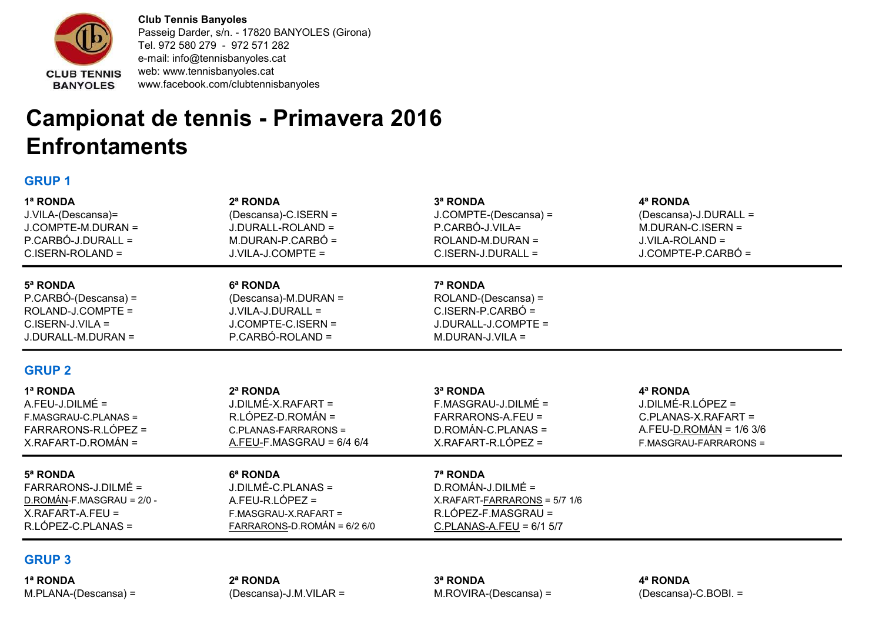

Club Tennis Banyoles Passeig Darder, s/n. - 17820 BANYOLES (Girona) Tel. 972 580 279 - 972 571 282 e-mail: info@tennisbanyoles.cat web: www.tennisbanyoles.cat www.facebook.com/clubtennisbanyoles

## Campionat de tennis - Primavera 2016 **Enfrontaments**

## GRUP 1

| 1ª RONDA                  | 2ª RONDA                    | 3ª RONDA                       | 4ª RONDA                 |
|---------------------------|-----------------------------|--------------------------------|--------------------------|
| J.VILA-(Descansa)=        | (Descansa)-C.ISERN =        | J.COMPTE-(Descansa) =          | (Descansa)-J.DURALL =    |
| J.COMPTE-M.DURAN =        | J.DURALL-ROLAND =           | P.CARBÓ-J.VILA=                | $M.DURAN-C.ISERN =$      |
| P.CARBÓ-J.DURALL =        | M.DURAN-P.CARBÓ =           | ROLAND-M.DURAN =               | J.VILA-ROLAND =          |
| C.ISERN-ROLAND =          | J.VILA-J.COMPTE =           | C.ISERN-J.DURALL =             | J.COMPTE-P.CARBÓ =       |
| 5ª RONDA                  | 6ª RONDA                    | 7ª RONDA                       |                          |
| P.CARBÓ-(Descansa) =      | (Descansa)-M.DURAN =        | ROLAND-(Descansa) =            |                          |
| ROLAND-J.COMPTE =         | J.VILA-J.DURALL =           | C.ISERN-P.CARBÓ =              |                          |
| $C.ISERN-J.VILA =$        | J.COMPTE-C.ISERN =          | J.DURALL-J.COMPTE =            |                          |
| J.DURALL-M.DURAN =        | P.CARBÓ-ROLAND =            | $M.DURAN-J.VILA =$             |                          |
| <b>GRUP 2</b>             |                             |                                |                          |
| 1ª RONDA                  | 2ª RONDA                    | 3ª RONDA                       | 4ª RONDA                 |
| $A.FEU-J.DILMÉ =$         | J.DILMÉ-X.RAFART =          | F.MASGRAU-J.DILMÉ =            | J.DILMÉ-R.LÓPEZ =        |
| F.MASGRAU-C.PLANAS =      | R.LÓPEZ-D.ROMÁN =           | FARRARONS-A.FEU =              | C.PLANAS-X.RAFART =      |
| FARRARONS-R.LÓPEZ =       | C.PLANAS-FARRARONS =        | D.ROMÁN-C.PLANAS =             | $A.FEU-D.ROMÁN = 1/63/6$ |
| X.RAFART-D.ROMÁN =        | A.FEU-F.MASGRAU = $6/4$ 6/4 | X.RAFART-R.LÓPEZ =             | F.MASGRAU-FARRARONS =    |
| 5ª RONDA                  | 6ª RONDA                    | 7ª RONDA                       |                          |
| FARRARONS-J.DILMÉ =       | J.DILMÉ-C.PLANAS =          | $D$ .ROMÁN-J.DILMÉ =           |                          |
| D.ROMÁN-F.MASGRAU = 2/0 - | A.FEU-R.LÓPEZ =             | $X.RAFART-FARRARONS = 5/7 1/6$ |                          |
| $X.RAFART-A.FEU =$        | F.MASGRAU-X.RAFART =        | $R.LÓPEZ-F.MASGRAU =$          |                          |
| $R.LÓPEZ-C.PLANAS =$      | FARRARONS-D.ROMÁN = 6/2 6/0 | C.PLANAS-A.FEU = $6/1$ 5/7     |                          |
|                           |                             |                                |                          |

## GRUP 3

1ª RONDA 2ª RONDA 3ª RONDA 4ª RONDA M.PLANA-(Descansa) = (Descansa)-J.M.VILAR = M.ROVIRA-(Descansa) = (Descansa)-C.BOBI. =